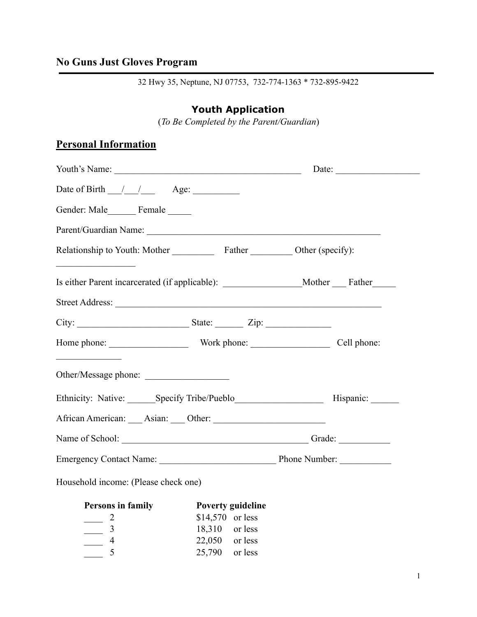## **No Guns Just Gloves Program**

32 Hwy 35, Neptune, NJ 07753, 732-774-1363 \* 732-895-9422

## **Youth Application**

(*To Be Completed by the Parent/Guardian*)

## **Personal Information**

|                                                                                                                                                                                                                                                                                                                                     | Date: |  |  |
|-------------------------------------------------------------------------------------------------------------------------------------------------------------------------------------------------------------------------------------------------------------------------------------------------------------------------------------|-------|--|--|
| Date of Birth $\frac{1}{\sqrt{2}}$ Age:                                                                                                                                                                                                                                                                                             |       |  |  |
| Gender: Male_________ Female ______                                                                                                                                                                                                                                                                                                 |       |  |  |
|                                                                                                                                                                                                                                                                                                                                     |       |  |  |
| Relationship to Youth: Mother Father Father Other (specify):                                                                                                                                                                                                                                                                        |       |  |  |
| <u>and the company of the company of the company of the company of the company of the company of the company of the company of the company of the company of the company of the company of the company of the company of the com</u><br>Is either Parent incarcerated (if applicable): ________________________Mother ______ Father |       |  |  |
|                                                                                                                                                                                                                                                                                                                                     |       |  |  |
|                                                                                                                                                                                                                                                                                                                                     |       |  |  |
|                                                                                                                                                                                                                                                                                                                                     |       |  |  |
| <u> 1989 - Johann Stoff, fransk politik form</u><br>Other/Message phone:                                                                                                                                                                                                                                                            |       |  |  |
|                                                                                                                                                                                                                                                                                                                                     |       |  |  |
|                                                                                                                                                                                                                                                                                                                                     |       |  |  |
|                                                                                                                                                                                                                                                                                                                                     |       |  |  |
|                                                                                                                                                                                                                                                                                                                                     |       |  |  |
| Household income: (Please check one)                                                                                                                                                                                                                                                                                                |       |  |  |

| Persons in family | Poverty guideline |  |
|-------------------|-------------------|--|
|                   | $$14,570$ or less |  |
|                   | 18,310 or less    |  |
|                   | $22,050$ or less  |  |
|                   | $25,790$ or less  |  |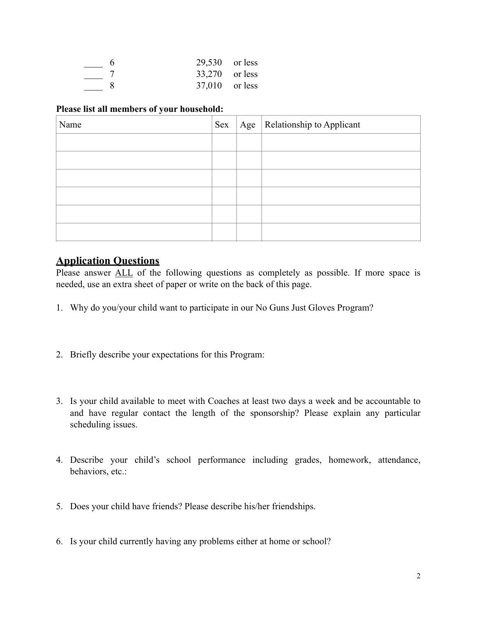| $29,530$ or less |  |
|------------------|--|
| 33,270 or less   |  |
| $37,010$ or less |  |

#### **Please list all members of your household:**

| Name | Sex | Age | Relationship to Applicant |
|------|-----|-----|---------------------------|
|      |     |     |                           |
|      |     |     |                           |
|      |     |     |                           |
|      |     |     |                           |
|      |     |     |                           |
|      |     |     |                           |

### **Application Questions**

Please answer ALL of the following questions as completely as possible. If more space is needed, use an extra sheet of paper or write on the back of this page.

- 1. Why do you/your child want to participate in our No Guns Just Gloves Program?
- 2. Briefly describe your expectations for this Program:
- 3. Is your child available to meet with Coaches at least two days a week and be accountable to and have regular contact the length of the sponsorship? Please explain any particular scheduling issues.
- 4. Describe your child's school performance including grades, homework, attendance, behaviors, etc.:
- 5. Does your child have friends? Please describe his/her friendships.
- 6. Is your child currently having any problems either at home or school?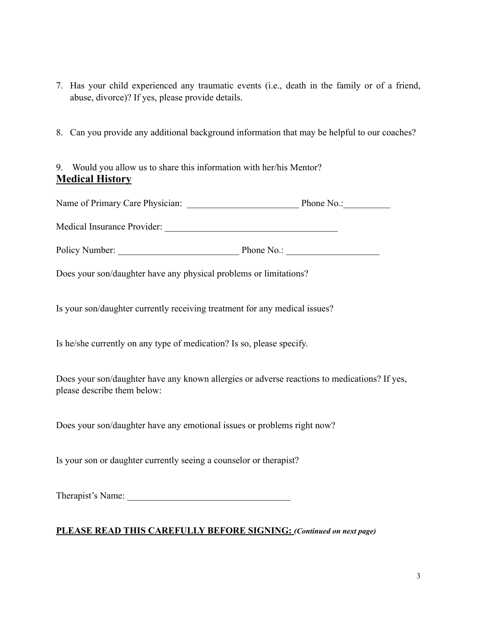- 7. Has your child experienced any traumatic events (i.e., death in the family or of a friend, abuse, divorce)? If yes, please provide details.
- 8. Can you provide any additional background information that may be helpful to our coaches?

9. Would you allow us to share this information with her/his Mentor? **Medical History** 

| Name of Primary Care Physician: | Phone No.: |
|---------------------------------|------------|
|---------------------------------|------------|

| Medical Insurance Provider: |  |  |
|-----------------------------|--|--|
|-----------------------------|--|--|

Policy Number: The Phone No.:

Does your son/daughter have any physical problems or limitations?

Is your son/daughter currently receiving treatment for any medical issues?

Is he/she currently on any type of medication? Is so, please specify.

Does your son/daughter have any known allergies or adverse reactions to medications? If yes, please describe them below:

Does your son/daughter have any emotional issues or problems right now?

Is your son or daughter currently seeing a counselor or therapist?

Therapist's Name:

#### **PLEASE READ THIS CAREFULLY BEFORE SIGNING:** *(Continued on next page)*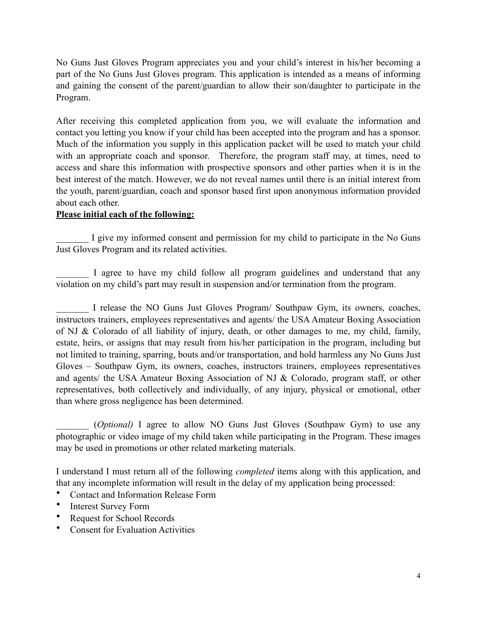No Guns Just Gloves Program appreciates you and your child's interest in his/her becoming a part of the No Guns Just Gloves program. This application is intended as a means of informing and gaining the consent of the parent/guardian to allow their son/daughter to participate in the Program.

After receiving this completed application from you, we will evaluate the information and contact you letting you know if your child has been accepted into the program and has a sponsor. Much of the information you supply in this application packet will be used to match your child with an appropriate coach and sponsor. Therefore, the program staff may, at times, need to access and share this information with prospective sponsors and other parties when it is in the best interest of the match. However, we do not reveal names until there is an initial interest from the youth, parent/guardian, coach and sponsor based first upon anonymous information provided about each other.

#### **Please initial each of the following:**

I give my informed consent and permission for my child to participate in the No Guns Just Gloves Program and its related activities.

I agree to have my child follow all program guidelines and understand that any violation on my child's part may result in suspension and/or termination from the program.

I release the NO Guns Just Gloves Program/ Southpaw Gym, its owners, coaches, instructors trainers, employees representatives and agents/ the USA Amateur Boxing Association of NJ & Colorado of all liability of injury, death, or other damages to me, my child, family, estate, heirs, or assigns that may result from his/her participation in the program, including but not limited to training, sparring, bouts and/or transportation, and hold harmless any No Guns Just Gloves – Southpaw Gym, its owners, coaches, instructors trainers, employees representatives and agents/ the USA Amateur Boxing Association of NJ & Colorado, program staff, or other representatives, both collectively and individually, of any injury, physical or emotional, other than where gross negligence has been determined.

\_\_\_\_\_\_\_ (*Optional)* I agree to allow NO Guns Just Gloves (Southpaw Gym) to use any photographic or video image of my child taken while participating in the Program. These images may be used in promotions or other related marketing materials.

I understand I must return all of the following *completed* items along with this application, and that any incomplete information will result in the delay of my application being processed:

- Contact and Information Release Form
- Interest Survey Form
- Request for School Records
- Consent for Evaluation Activities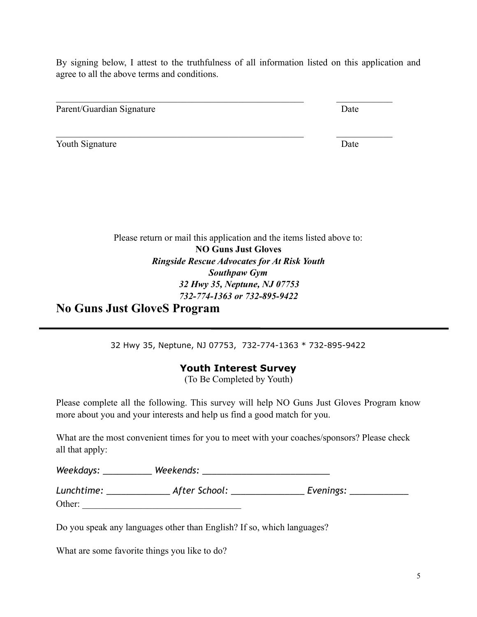By signing below, I attest to the truthfulness of all information listed on this application and agree to all the above terms and conditions.

 $\mathcal{L}_\text{max}$  , and the contribution of the contribution of the contribution of the contribution of the contribution of the contribution of the contribution of the contribution of the contribution of the contribution of t

 $\mathcal{L}_\text{max}$  , and the contribution of the contribution of the contribution of the contribution of the contribution of the contribution of the contribution of the contribution of the contribution of the contribution of t

Parent/Guardian Signature Date

Youth Signature Date

Please return or mail this application and the items listed above to: **NO Guns Just Gloves**  *Ringside Rescue Advocates for At Risk Youth Southpaw Gym 32 Hwy 35, Neptune, NJ 07753 732-774-1363 or 732-895-9422* 

**No Guns Just GloveS Program** 

32 Hwy 35, Neptune, NJ 07753, 732-774-1363 \* 732-895-9422

### **Youth Interest Survey**

(To Be Completed by Youth)

Please complete all the following. This survey will help NO Guns Just Gloves Program know more about you and your interests and help us find a good match for you.

What are the most convenient times for you to meet with your coaches/sponsors? Please check all that apply:

| Weekdays:  | Weekends:     |           |  |
|------------|---------------|-----------|--|
| Lunchtime: | After School: | Evenings: |  |

Other:

Do you speak any languages other than English? If so, which languages?

What are some favorite things you like to do?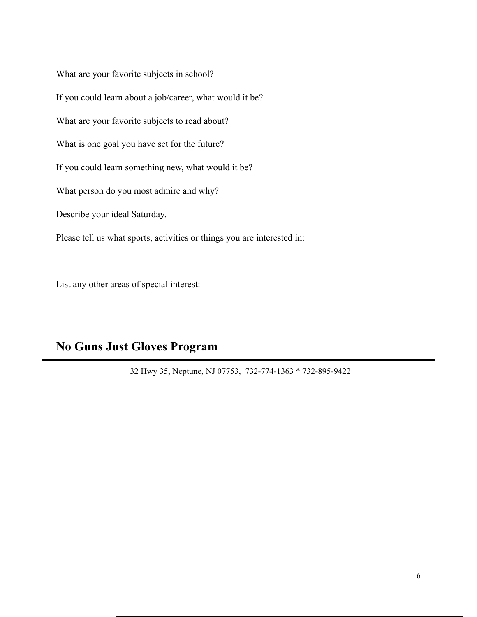What are your favorite subjects in school? If you could learn about a job/career, what would it be? What are your favorite subjects to read about? What is one goal you have set for the future? If you could learn something new, what would it be? What person do you most admire and why? Describe your ideal Saturday. Please tell us what sports, activities or things you are interested in:

List any other areas of special interest:

# **No Guns Just Gloves Program**

32 Hwy 35, Neptune, NJ 07753, 732-774-1363 \* 732-895-9422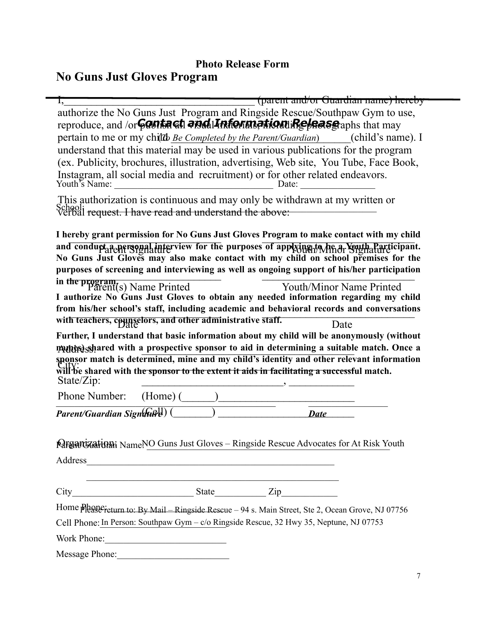# **No Guns Just Gloves Program Photo Release Form**

| (parent and/or Guardian name) hereby                                                                                                                                                                                           |
|--------------------------------------------------------------------------------------------------------------------------------------------------------------------------------------------------------------------------------|
| authorize the No Guns Just Program and Ringside Rescue/Southpaw Gym to use,                                                                                                                                                    |
| reproduce, and /or <b>Contact and Information Release</b> aphs that may                                                                                                                                                        |
| pertain to me or my child <i>Be Completed by the Parent/Guardian</i> ) (child's name). I                                                                                                                                       |
| understand that this material may be used in various publications for the program                                                                                                                                              |
| (ex. Publicity, brochures, illustration, advertising, Web site, You Tube, Face Book,                                                                                                                                           |
| Youth's Name:                                                                                                                                                                                                                  |
| This authorization is continuous and may only be withdrawn at my written or                                                                                                                                                    |
| School;<br>verbal <del>request. I have read and understand the above:</del>                                                                                                                                                    |
| I hereby grant permission for No Guns Just Gloves Program to make contact with my child                                                                                                                                        |
|                                                                                                                                                                                                                                |
| and condupt a personal interview for the purposes of applying to be a Youth Participant.<br>No Guns Just Gloves may also make contact with my child on school premises for the                                                 |
| purposes of screening and interviewing as well as ongoing support of his/her participation                                                                                                                                     |
| in the program,<br>Parent(s) Name Printed<br><b>Youth/Minor Name Printed</b>                                                                                                                                                   |
| I authorize No Guns Just Gloves to obtain any needed information regarding my child                                                                                                                                            |
| from his/her school's staff, including academic and behavioral records and conversations                                                                                                                                       |
|                                                                                                                                                                                                                                |
| with teachers, counselors, and other administrative staff.<br>Date                                                                                                                                                             |
| Further, I understand that basic information about my child will be anonymously (without                                                                                                                                       |
| matter) shared with a prospective sponsor to aid in determining a suitable match. Once a                                                                                                                                       |
| sponsor match is determined, mine and my child's identity and other relevant information                                                                                                                                       |
| will be shared with the sponsor to the extent it aids in facilitating a successful match.                                                                                                                                      |
| State/Zip:<br>Phone Number:<br>$(Home)$ $($                                                                                                                                                                                    |
|                                                                                                                                                                                                                                |
| Parent/Guardian Signature<br><b>Date</b>                                                                                                                                                                                       |
|                                                                                                                                                                                                                                |
| <b>Margarozation</b> i NameNO Guns Just Gloves - Ringside Rescue Advocates for At Risk Youth                                                                                                                                   |
| Address and the contract of the contract of the contract of the contract of the contract of the contract of the contract of the contract of the contract of the contract of the contract of the contract of the contract of th |
| <u> 1990 - Johann John Stoff, deutscher Stoff, der Stoff, der Stoff, der Stoff, der Stoff, der Stoff, der Stoff, d</u>                                                                                                         |
|                                                                                                                                                                                                                                |
|                                                                                                                                                                                                                                |
| Home please return to: By Mail - Ringside Rescue - 94 s. Main Street, Ste 2, Ocean Grove, NJ 07756<br>Cell Phone: In Person: Southpaw Gym - c/o Ringside Rescue, 32 Hwy 35, Neptune, NJ 07753                                  |
| Work Phone:                                                                                                                                                                                                                    |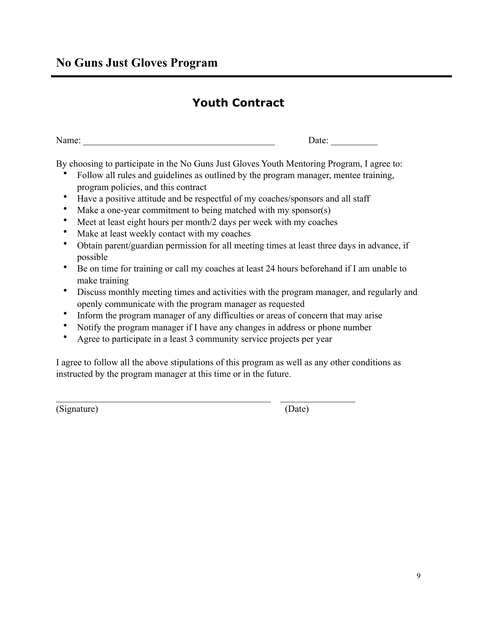# **Youth Contract**

| Name: | Date: |
|-------|-------|
|       |       |

By choosing to participate in the No Guns Just Gloves Youth Mentoring Program, I agree to:

- Follow all rules and guidelines as outlined by the program manager, mentee training, program policies, and this contract
- Have a positive attitude and be respectful of my coaches/sponsors and all staff
- Make a one-year commitment to being matched with my sponsor(s)
- Meet at least eight hours per month/2 days per week with my coaches
- Make at least weekly contact with my coaches
- Obtain parent/guardian permission for all meeting times at least three days in advance, if possible
- Be on time for training or call my coaches at least 24 hours beforehand if I am unable to make training
- Discuss monthly meeting times and activities with the program manager, and regularly and openly communicate with the program manager as requested
- Inform the program manager of any difficulties or areas of concern that may arise
- Notify the program manager if I have any changes in address or phone number
- Agree to participate in a least 3 community service projects per year

 $\mathcal{L}_\text{max} = \frac{1}{2} \sum_{i=1}^n \mathcal{L}_\text{max}(\mathbf{z}_i - \mathbf{z}_i)$ 

I agree to follow all the above stipulations of this program as well as any other conditions as instructed by the program manager at this time or in the future.

(Signature) (Date)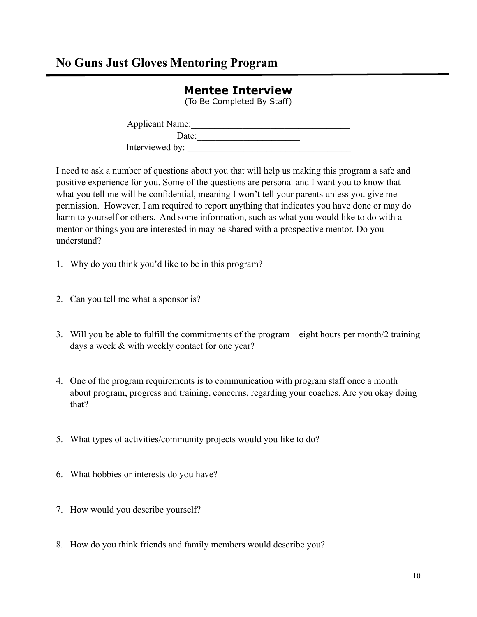### (To Be Completed By Staff) Applicant Name:\_\_\_\_\_\_\_\_\_\_\_\_\_\_\_\_\_\_\_\_\_\_\_\_\_\_\_\_\_\_\_\_\_\_ Date:\_\_\_\_\_\_\_\_\_\_\_\_\_\_\_\_\_\_\_\_\_\_ Interviewed by:

**Mentee Interview** 

I need to ask a number of questions about you that will help us making this program a safe and positive experience for you. Some of the questions are personal and I want you to know that what you tell me will be confidential, meaning I won't tell your parents unless you give me permission. However, I am required to report anything that indicates you have done or may do harm to yourself or others. And some information, such as what you would like to do with a mentor or things you are interested in may be shared with a prospective mentor. Do you understand?

- 1. Why do you think you'd like to be in this program?
- 2. Can you tell me what a sponsor is?
- 3. Will you be able to fulfill the commitments of the program eight hours per month/2 training days a week & with weekly contact for one year?
- 4. One of the program requirements is to communication with program staff once a month about program, progress and training, concerns, regarding your coaches. Are you okay doing that?
- 5. What types of activities/community projects would you like to do?
- 6. What hobbies or interests do you have?
- 7. How would you describe yourself?
- 8. How do you think friends and family members would describe you?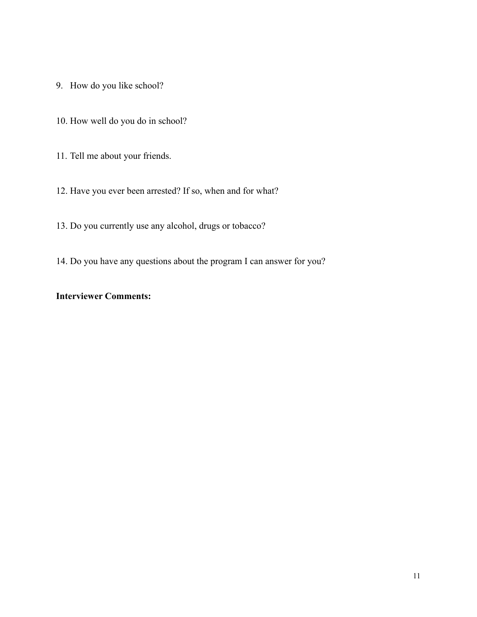- 9. How do you like school?
- 10. How well do you do in school?
- 11. Tell me about your friends.
- 12. Have you ever been arrested? If so, when and for what?
- 13. Do you currently use any alcohol, drugs or tobacco?
- 14. Do you have any questions about the program I can answer for you?

#### **Interviewer Comments:**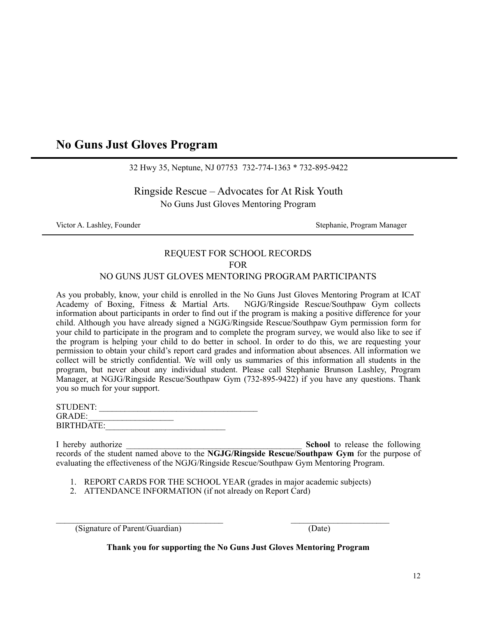### **No Guns Just Gloves Program**

32 Hwy 35, Neptune, NJ 07753 732-774-1363 \* 732-895-9422

Ringside Rescue – Advocates for At Risk Youth No Guns Just Gloves Mentoring Program

Victor A. Lashley, Founder Stephanie, Program Manager

# REQUEST FOR SCHOOL RECORDS FOR

# NO GUNS JUST GLOVES MENTORING PROGRAM PARTICIPANTS

As you probably, know, your child is enrolled in the No Guns Just Gloves Mentoring Program at ICAT Academy of Boxing, Fitness & Martial Arts. NGJG/Ringside Rescue/Southpaw Gym collects information about participants in order to find out if the program is making a positive difference for your child. Although you have already signed a NGJG/Ringside Rescue/Southpaw Gym permission form for your child to participate in the program and to complete the program survey, we would also like to see if the program is helping your child to do better in school. In order to do this, we are requesting your permission to obtain your child's report card grades and information about absences. All information we collect will be strictly confidential. We will only us summaries of this information all students in the program, but never about any individual student. Please call Stephanie Brunson Lashley, Program Manager, at NGJG/Ringside Rescue/Southpaw Gym (732-895-9422) if you have any questions. Thank you so much for your support.

| STUDENT:          |  |  |
|-------------------|--|--|
| <b>GRADE:</b>     |  |  |
| <b>BIRTHDATE:</b> |  |  |

I hereby authorize **School** to release the following records of the student named above to the **NGJG/Ringside Rescue/Southpaw Gym** for the purpose of evaluating the effectiveness of the NGJG/Ringside Rescue/Southpaw Gym Mentoring Program.

- 1. REPORT CARDS FOR THE SCHOOL YEAR (grades in major academic subjects)
- 2. ATTENDANCE INFORMATION (if not already on Report Card)

 $\mathcal{L}_\text{max} = \frac{1}{2} \sum_{i=1}^n \mathcal{L}_\text{max}(\mathbf{z}_i - \mathbf{z}_i)$ (Signature of Parent/Guardian) (Date)

**Thank you for supporting the No Guns Just Gloves Mentoring Program**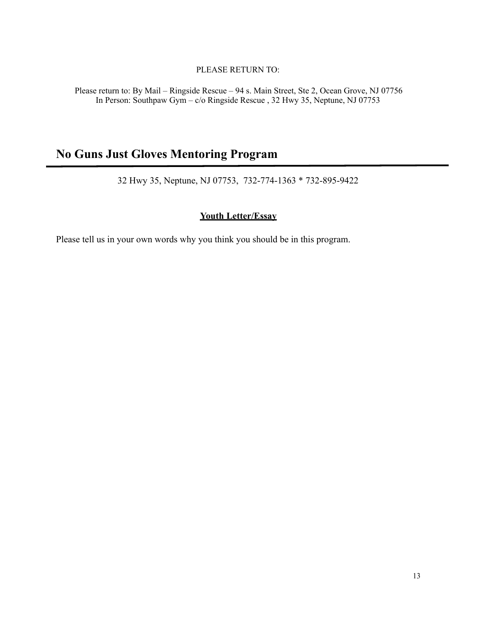#### PLEASE RETURN TO:

Please return to: By Mail – Ringside Rescue – 94 s. Main Street, Ste 2, Ocean Grove, NJ 07756 In Person: Southpaw Gym – c/o Ringside Rescue , 32 Hwy 35, Neptune, NJ 07753

## **No Guns Just Gloves Mentoring Program**

32 Hwy 35, Neptune, NJ 07753, 732-774-1363 \* 732-895-9422

#### **Youth Letter/Essay**

Please tell us in your own words why you think you should be in this program.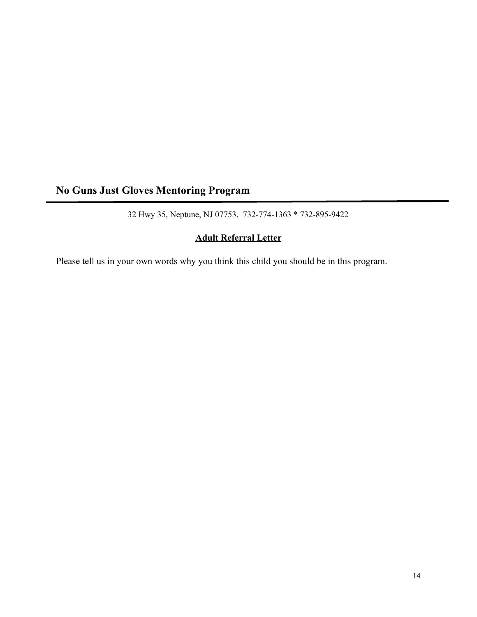# **No Guns Just Gloves Mentoring Program**

32 Hwy 35, Neptune, NJ 07753, 732-774-1363 \* 732-895-9422

### **Adult Referral Letter**

Please tell us in your own words why you think this child you should be in this program.